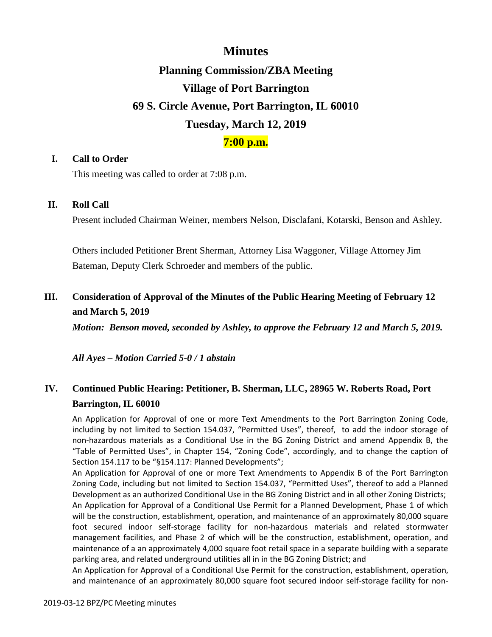# **Minutes**

# **Planning Commission/ZBA Meeting Village of Port Barrington 69 S. Circle Avenue, Port Barrington, IL 60010 Tuesday, March 12, 2019**

### **7:00 p.m.**

### **I. Call to Order**

This meeting was called to order at 7:08 p.m.

### **II. Roll Call**

Present included Chairman Weiner, members Nelson, Disclafani, Kotarski, Benson and Ashley.

Others included Petitioner Brent Sherman, Attorney Lisa Waggoner, Village Attorney Jim Bateman, Deputy Clerk Schroeder and members of the public.

## **III. Consideration of Approval of the Minutes of the Public Hearing Meeting of February 12 and March 5, 2019**

*Motion: Benson moved, seconded by Ashley, to approve the February 12 and March 5, 2019.*

*All Ayes – Motion Carried 5-0 / 1 abstain*

# **IV. Continued Public Hearing: Petitioner, B. Sherman, LLC, 28965 W. Roberts Road, Port Barrington, IL 60010**

An Application for Approval of one or more Text Amendments to the Port Barrington Zoning Code, including by not limited to Section 154.037, "Permitted Uses", thereof, to add the indoor storage of non-hazardous materials as a Conditional Use in the BG Zoning District and amend Appendix B, the "Table of Permitted Uses", in Chapter 154, "Zoning Code", accordingly, and to change the caption of Section 154.117 to be "§154.117: Planned Developments";

An Application for Approval of one or more Text Amendments to Appendix B of the Port Barrington Zoning Code, including but not limited to Section 154.037, "Permitted Uses", thereof to add a Planned Development as an authorized Conditional Use in the BG Zoning District and in all other Zoning Districts; An Application for Approval of a Conditional Use Permit for a Planned Development, Phase 1 of which will be the construction, establishment, operation, and maintenance of an approximately 80,000 square foot secured indoor self-storage facility for non-hazardous materials and related stormwater management facilities, and Phase 2 of which will be the construction, establishment, operation, and maintenance of a an approximately 4,000 square foot retail space in a separate building with a separate parking area, and related underground utilities all in in the BG Zoning District; and

An Application for Approval of a Conditional Use Permit for the construction, establishment, operation, and maintenance of an approximately 80,000 square foot secured indoor self-storage facility for non-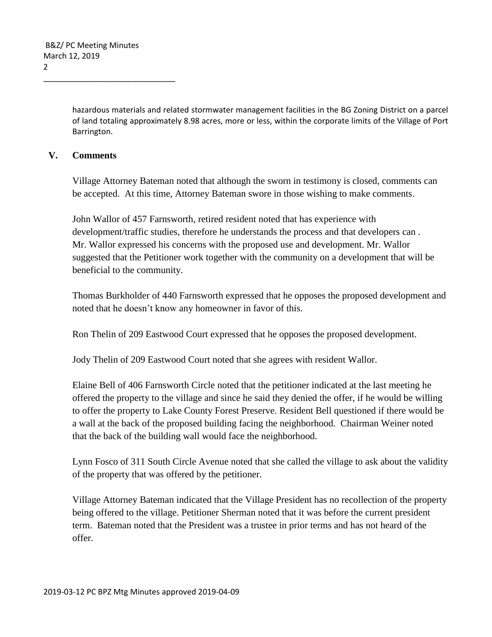hazardous materials and related stormwater management facilities in the BG Zoning District on a parcel of land totaling approximately 8.98 acres, more or less, within the corporate limits of the Village of Port Barrington.

### **V. Comments**

Village Attorney Bateman noted that although the sworn in testimony is closed, comments can be accepted. At this time, Attorney Bateman swore in those wishing to make comments.

John Wallor of 457 Farnsworth, retired resident noted that has experience with development/traffic studies, therefore he understands the process and that developers can . Mr. Wallor expressed his concerns with the proposed use and development. Mr. Wallor suggested that the Petitioner work together with the community on a development that will be beneficial to the community.

Thomas Burkholder of 440 Farnsworth expressed that he opposes the proposed development and noted that he doesn't know any homeowner in favor of this.

Ron Thelin of 209 Eastwood Court expressed that he opposes the proposed development.

Jody Thelin of 209 Eastwood Court noted that she agrees with resident Wallor.

Elaine Bell of 406 Farnsworth Circle noted that the petitioner indicated at the last meeting he offered the property to the village and since he said they denied the offer, if he would be willing to offer the property to Lake County Forest Preserve. Resident Bell questioned if there would be a wall at the back of the proposed building facing the neighborhood. Chairman Weiner noted that the back of the building wall would face the neighborhood.

Lynn Fosco of 311 South Circle Avenue noted that she called the village to ask about the validity of the property that was offered by the petitioner.

Village Attorney Bateman indicated that the Village President has no recollection of the property being offered to the village. Petitioner Sherman noted that it was before the current president term. Bateman noted that the President was a trustee in prior terms and has not heard of the offer.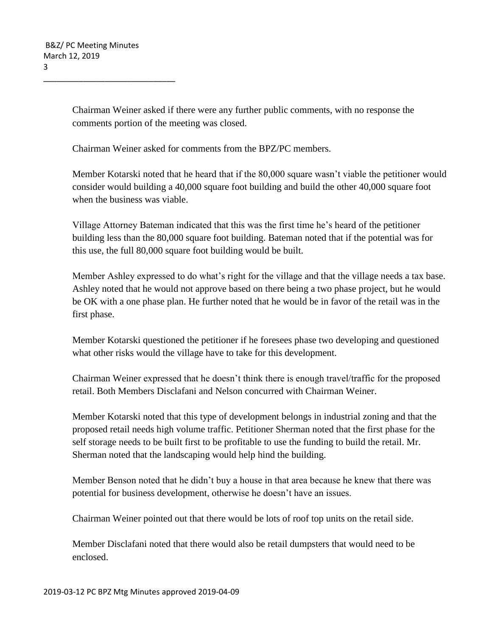Chairman Weiner asked if there were any further public comments, with no response the comments portion of the meeting was closed.

Chairman Weiner asked for comments from the BPZ/PC members.

Member Kotarski noted that he heard that if the 80,000 square wasn't viable the petitioner would consider would building a 40,000 square foot building and build the other 40,000 square foot when the business was viable.

Village Attorney Bateman indicated that this was the first time he's heard of the petitioner building less than the 80,000 square foot building. Bateman noted that if the potential was for this use, the full 80,000 square foot building would be built.

Member Ashley expressed to do what's right for the village and that the village needs a tax base. Ashley noted that he would not approve based on there being a two phase project, but he would be OK with a one phase plan. He further noted that he would be in favor of the retail was in the first phase.

Member Kotarski questioned the petitioner if he foresees phase two developing and questioned what other risks would the village have to take for this development.

Chairman Weiner expressed that he doesn't think there is enough travel/traffic for the proposed retail. Both Members Disclafani and Nelson concurred with Chairman Weiner.

Member Kotarski noted that this type of development belongs in industrial zoning and that the proposed retail needs high volume traffic. Petitioner Sherman noted that the first phase for the self storage needs to be built first to be profitable to use the funding to build the retail. Mr. Sherman noted that the landscaping would help hind the building.

Member Benson noted that he didn't buy a house in that area because he knew that there was potential for business development, otherwise he doesn't have an issues.

Chairman Weiner pointed out that there would be lots of roof top units on the retail side.

Member Disclafani noted that there would also be retail dumpsters that would need to be enclosed.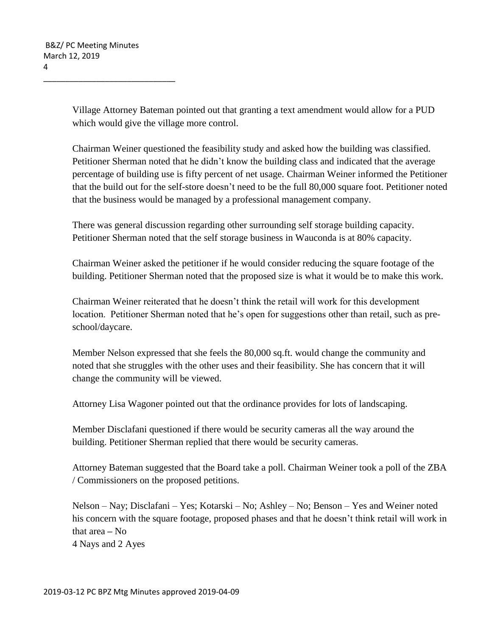Village Attorney Bateman pointed out that granting a text amendment would allow for a PUD which would give the village more control.

Chairman Weiner questioned the feasibility study and asked how the building was classified. Petitioner Sherman noted that he didn't know the building class and indicated that the average percentage of building use is fifty percent of net usage. Chairman Weiner informed the Petitioner that the build out for the self-store doesn't need to be the full 80,000 square foot. Petitioner noted that the business would be managed by a professional management company.

There was general discussion regarding other surrounding self storage building capacity. Petitioner Sherman noted that the self storage business in Wauconda is at 80% capacity.

Chairman Weiner asked the petitioner if he would consider reducing the square footage of the building. Petitioner Sherman noted that the proposed size is what it would be to make this work.

Chairman Weiner reiterated that he doesn't think the retail will work for this development location. Petitioner Sherman noted that he's open for suggestions other than retail, such as preschool/daycare.

Member Nelson expressed that she feels the 80,000 sq.ft. would change the community and noted that she struggles with the other uses and their feasibility. She has concern that it will change the community will be viewed.

Attorney Lisa Wagoner pointed out that the ordinance provides for lots of landscaping.

Member Disclafani questioned if there would be security cameras all the way around the building. Petitioner Sherman replied that there would be security cameras.

Attorney Bateman suggested that the Board take a poll. Chairman Weiner took a poll of the ZBA / Commissioners on the proposed petitions.

Nelson – Nay; Disclafani – Yes; Kotarski – No; Ashley – No; Benson – Yes and Weiner noted his concern with the square footage, proposed phases and that he doesn't think retail will work in that area **–** No 4 Nays and 2 Ayes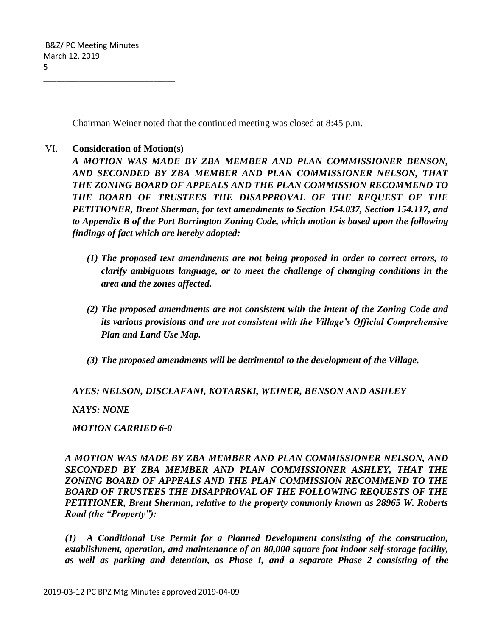Chairman Weiner noted that the continued meeting was closed at 8:45 p.m.

### VI. **Consideration of Motion(s)**

\_\_\_\_\_\_\_\_\_\_\_\_\_\_\_\_\_\_\_\_\_\_\_\_\_\_\_\_\_\_

*A MOTION WAS MADE BY ZBA MEMBER AND PLAN COMMISSIONER BENSON, AND SECONDED BY ZBA MEMBER AND PLAN COMMISSIONER NELSON, THAT THE ZONING BOARD OF APPEALS AND THE PLAN COMMISSION RECOMMEND TO THE BOARD OF TRUSTEES THE DISAPPROVAL OF THE REQUEST OF THE PETITIONER, Brent Sherman, for text amendments to Section 154.037, Section 154.117, and to Appendix B of the Port Barrington Zoning Code, which motion is based upon the following findings of fact which are hereby adopted:*

- *(1) The proposed text amendments are not being proposed in order to correct errors, to clarify ambiguous language, or to meet the challenge of changing conditions in the area and the zones affected.*
- *(2) The proposed amendments are not consistent with the intent of the Zoning Code and its various provisions and are not consistent with the Village's Official Comprehensive Plan and Land Use Map.*
- *(3) The proposed amendments will be detrimental to the development of the Village.*

*AYES: NELSON, DISCLAFANI, KOTARSKI, WEINER, BENSON AND ASHLEY*

*NAYS: NONE*

*MOTION CARRIED 6-0*

*A MOTION WAS MADE BY ZBA MEMBER AND PLAN COMMISSIONER NELSON, AND SECONDED BY ZBA MEMBER AND PLAN COMMISSIONER ASHLEY, THAT THE ZONING BOARD OF APPEALS AND THE PLAN COMMISSION RECOMMEND TO THE BOARD OF TRUSTEES THE DISAPPROVAL OF THE FOLLOWING REQUESTS OF THE PETITIONER, Brent Sherman, relative to the property commonly known as 28965 W. Roberts Road (the "Property"):*

*(1) A Conditional Use Permit for a Planned Development consisting of the construction, establishment, operation, and maintenance of an 80,000 square foot indoor self-storage facility, as well as parking and detention, as Phase I, and a separate Phase 2 consisting of the*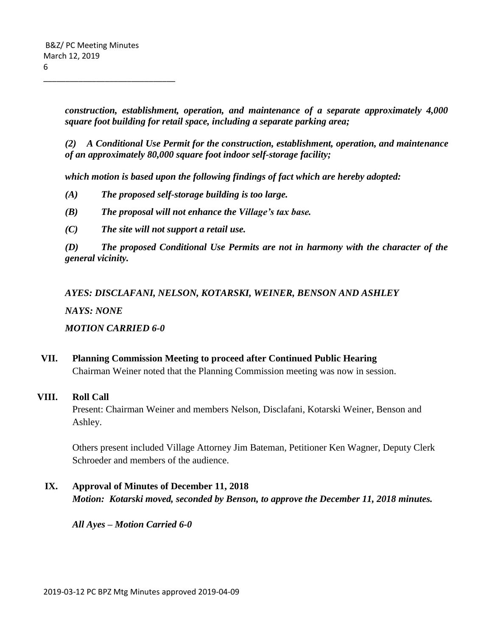*construction, establishment, operation, and maintenance of a separate approximately 4,000 square foot building for retail space, including a separate parking area;*

*(2) A Conditional Use Permit for the construction, establishment, operation, and maintenance of an approximately 80,000 square foot indoor self-storage facility;* 

*which motion is based upon the following findings of fact which are hereby adopted:*

- *(A) The proposed self-storage building is too large.*
- *(B) The proposal will not enhance the Village's tax base.*
- *(C) The site will not support a retail use.*

*(D) The proposed Conditional Use Permits are not in harmony with the character of the general vicinity.*

*AYES: DISCLAFANI, NELSON, KOTARSKI, WEINER, BENSON AND ASHLEY*

*NAYS: NONE*

*MOTION CARRIED 6-0*

**VII. Planning Commission Meeting to proceed after Continued Public Hearing** Chairman Weiner noted that the Planning Commission meeting was now in session.

### **VIII. Roll Call**

Present: Chairman Weiner and members Nelson, Disclafani, Kotarski Weiner, Benson and Ashley.

Others present included Village Attorney Jim Bateman, Petitioner Ken Wagner, Deputy Clerk Schroeder and members of the audience.

**IX. Approval of Minutes of December 11, 2018** *Motion: Kotarski moved, seconded by Benson, to approve the December 11, 2018 minutes.*

*All Ayes – Motion Carried 6-0*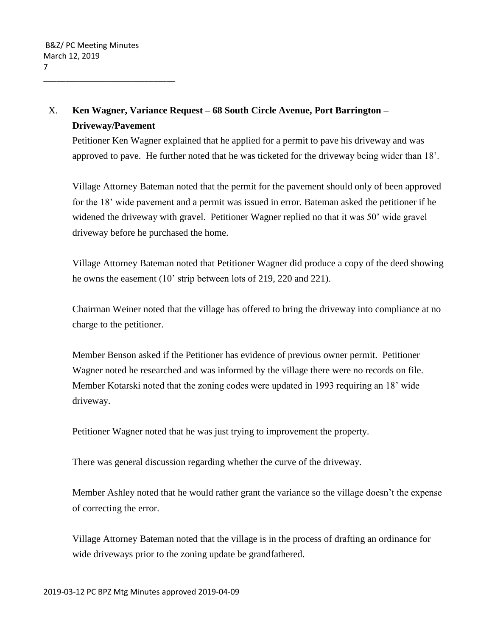## X. **Ken Wagner, Variance Request – 68 South Circle Avenue, Port Barrington – Driveway/Pavement**

Petitioner Ken Wagner explained that he applied for a permit to pave his driveway and was approved to pave. He further noted that he was ticketed for the driveway being wider than 18'.

Village Attorney Bateman noted that the permit for the pavement should only of been approved for the 18' wide pavement and a permit was issued in error. Bateman asked the petitioner if he widened the driveway with gravel. Petitioner Wagner replied no that it was 50' wide gravel driveway before he purchased the home.

Village Attorney Bateman noted that Petitioner Wagner did produce a copy of the deed showing he owns the easement (10' strip between lots of 219, 220 and 221).

Chairman Weiner noted that the village has offered to bring the driveway into compliance at no charge to the petitioner.

Member Benson asked if the Petitioner has evidence of previous owner permit. Petitioner Wagner noted he researched and was informed by the village there were no records on file. Member Kotarski noted that the zoning codes were updated in 1993 requiring an 18' wide driveway.

Petitioner Wagner noted that he was just trying to improvement the property.

There was general discussion regarding whether the curve of the driveway.

Member Ashley noted that he would rather grant the variance so the village doesn't the expense of correcting the error.

Village Attorney Bateman noted that the village is in the process of drafting an ordinance for wide driveways prior to the zoning update be grandfathered.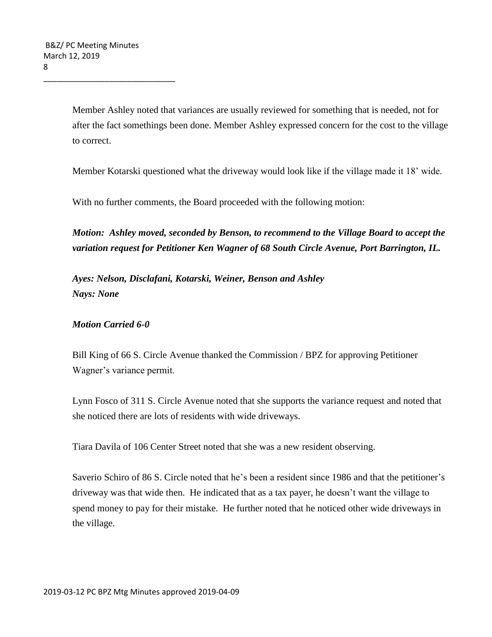Member Ashley noted that variances are usually reviewed for something that is needed, not for after the fact somethings been done. Member Ashley expressed concern for the cost to the village to correct.

Member Kotarski questioned what the driveway would look like if the village made it 18' wide.

With no further comments, the Board proceeded with the following motion:

*Motion: Ashley moved, seconded by Benson, to recommend to the Village Board to accept the variation request for Petitioner Ken Wagner of 68 South Circle Avenue, Port Barrington, IL.* 

*Ayes: Nelson, Disclafani, Kotarski, Weiner, Benson and Ashley Nays: None*

### *Motion Carried 6-0*

Bill King of 66 S. Circle Avenue thanked the Commission / BPZ for approving Petitioner Wagner's variance permit.

Lynn Fosco of 311 S. Circle Avenue noted that she supports the variance request and noted that she noticed there are lots of residents with wide driveways.

Tiara Davila of 106 Center Street noted that she was a new resident observing.

Saverio Schiro of 86 S. Circle noted that he's been a resident since 1986 and that the petitioner's driveway was that wide then. He indicated that as a tax payer, he doesn't want the village to spend money to pay for their mistake. He further noted that he noticed other wide driveways in the village.